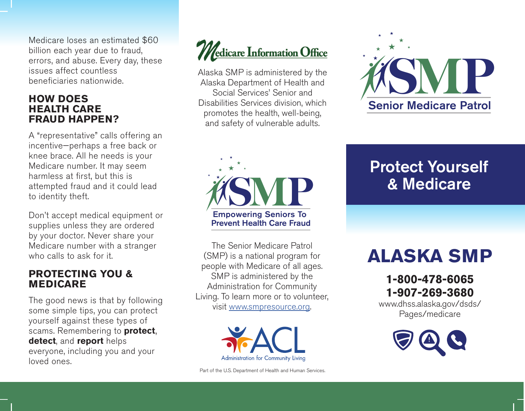Medicare loses an estimated \$60 billion each year due to fraud, errors, and abuse. Every day, these issues affect countless beneficiaries nationwide.

### **HOW DOES HEALTH CARE FRAUD HAPPEN?**

A "representative" calls offering an incentive—perhaps a free back or knee brace. All he needs is your Medicare number. It may seem harmless at first, but this is attempted fraud and it could lead to identity theft.

Don't accept medical equipment or supplies unless they are ordered by your doctor. Never share your Medicare number with a stranger who calls to ask for it.

### **PROTECTING YOU & MEDICARE**

The good news is that by following some simple tips, you can protect yourself against these types of scams. Remembering to **protect**, **detect**, and **report** helps everyone, including you and your loved ones.



Alaska SMP is administered by the Alaska Department of Health and Social Services' Senior and Disabilities Services division, which promotes the health, well-being, and safety of vulnerable adults.



The Senior Medicare Patrol (SMP) is a national program for people with Medicare of all ages. SMP is administered by the Administration for Community Living. To learn more or to volunteer, visit www.smpresource.org.





### Protect Yourself & Medicare

## **ALASKA SMP**

**1-800-478-6065 1-907-269-3680**

www.dhss.alaska.gov/dsds/ Pages/medicare